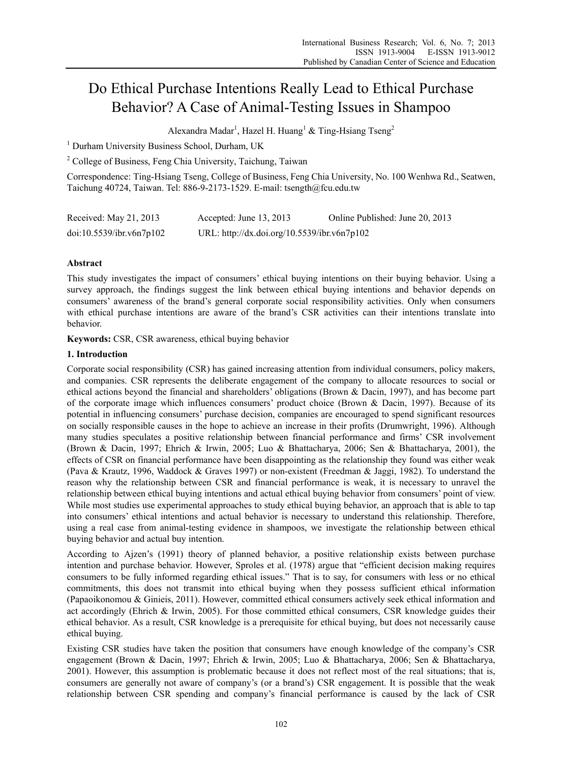# Do Ethical Purchase Intentions Really Lead to Ethical Purchase Behavior? A Case of Animal-Testing Issues in Shampoo

Alexandra Madar<sup>1</sup>, Hazel H. Huang<sup>1</sup> & Ting-Hsiang Tseng<sup>2</sup>

<sup>1</sup> Durham University Business School, Durham, UK

<sup>2</sup> College of Business, Feng Chia University, Taichung, Taiwan

Correspondence: Ting-Hsiang Tseng, College of Business, Feng Chia University, No. 100 Wenhwa Rd., Seatwen, Taichung 40724, Taiwan. Tel: 886-9-2173-1529. E-mail: tsength@fcu.edu.tw

| Received: May 21, 2013   | Accepted: June $13, 2013$                   | Online Published: June 20, 2013 |
|--------------------------|---------------------------------------------|---------------------------------|
| doi:10.5539/ibr.v6n7p102 | URL: http://dx.doi.org/10.5539/ibr.v6n7p102 |                                 |

# **Abstract**

This study investigates the impact of consumers' ethical buying intentions on their buying behavior. Using a survey approach, the findings suggest the link between ethical buying intentions and behavior depends on consumers' awareness of the brand's general corporate social responsibility activities. Only when consumers with ethical purchase intentions are aware of the brand's CSR activities can their intentions translate into behavior.

**Keywords:** CSR, CSR awareness, ethical buying behavior

## **1. Introduction**

Corporate social responsibility (CSR) has gained increasing attention from individual consumers, policy makers, and companies. CSR represents the deliberate engagement of the company to allocate resources to social or ethical actions beyond the financial and shareholders' obligations (Brown & Dacin, 1997), and has become part of the corporate image which influences consumers' product choice (Brown & Dacin, 1997). Because of its potential in influencing consumers' purchase decision, companies are encouraged to spend significant resources on socially responsible causes in the hope to achieve an increase in their profits (Drumwright, 1996). Although many studies speculates a positive relationship between financial performance and firms' CSR involvement (Brown & Dacin, 1997; Ehrich & Irwin, 2005; Luo & Bhattacharya, 2006; Sen & Bhattacharya, 2001), the effects of CSR on financial performance have been disappointing as the relationship they found was either weak (Pava & Krautz, 1996, Waddock & Graves 1997) or non-existent (Freedman & Jaggi, 1982). To understand the reason why the relationship between CSR and financial performance is weak, it is necessary to unravel the relationship between ethical buying intentions and actual ethical buying behavior from consumers' point of view. While most studies use experimental approaches to study ethical buying behavior, an approach that is able to tap into consumers' ethical intentions and actual behavior is necessary to understand this relationship. Therefore, using a real case from animal-testing evidence in shampoos, we investigate the relationship between ethical buying behavior and actual buy intention.

According to Ajzen's (1991) theory of planned behavior, a positive relationship exists between purchase intention and purchase behavior. However, Sproles et al. (1978) argue that "efficient decision making requires consumers to be fully informed regarding ethical issues." That is to say, for consumers with less or no ethical commitments, this does not transmit into ethical buying when they possess sufficient ethical information (Papaoikonomou & Ginieis, 2011). However, committed ethical consumers actively seek ethical information and act accordingly (Ehrich & Irwin, 2005). For those committed ethical consumers, CSR knowledge guides their ethical behavior. As a result, CSR knowledge is a prerequisite for ethical buying, but does not necessarily cause ethical buying.

Existing CSR studies have taken the position that consumers have enough knowledge of the company's CSR engagement (Brown & Dacin, 1997; Ehrich & Irwin, 2005; Luo & Bhattacharya, 2006; Sen & Bhattacharya, 2001). However, this assumption is problematic because it does not reflect most of the real situations; that is, consumers are generally not aware of company's (or a brand's) CSR engagement. It is possible that the weak relationship between CSR spending and company's financial performance is caused by the lack of CSR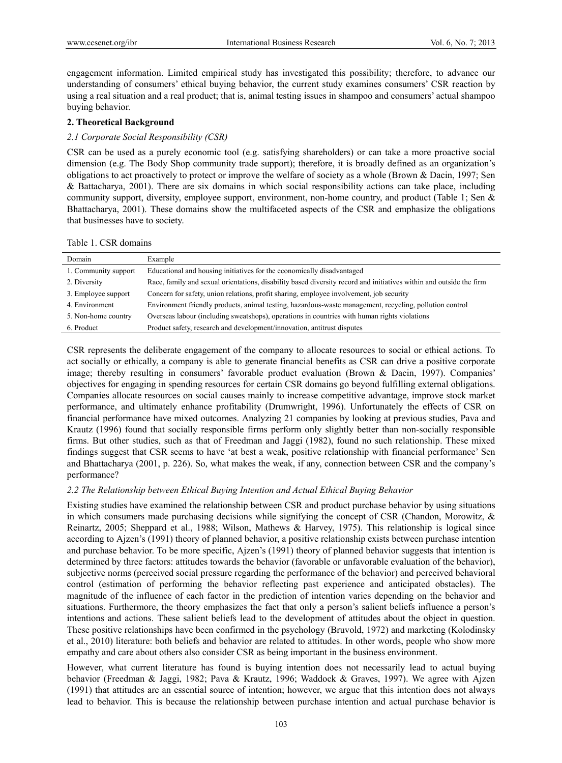engagement information. Limited empirical study has investigated this possibility; therefore, to advance our understanding of consumers' ethical buying behavior, the current study examines consumers' CSR reaction by using a real situation and a real product; that is, animal testing issues in shampoo and consumers' actual shampoo buying behavior.

## **2. Theoretical Background**

## *2.1 Corporate Social Responsibility (CSR)*

CSR can be used as a purely economic tool (e.g. satisfying shareholders) or can take a more proactive social dimension (e.g. The Body Shop community trade support); therefore, it is broadly defined as an organization's obligations to act proactively to protect or improve the welfare of society as a whole (Brown & Dacin, 1997; Sen & Battacharya, 2001). There are six domains in which social responsibility actions can take place, including community support, diversity, employee support, environment, non-home country, and product (Table 1; Sen & Bhattacharya, 2001). These domains show the multifaceted aspects of the CSR and emphasize the obligations that businesses have to society.

Table 1. CSR domains

| Domain               | Example                                                                                                             |
|----------------------|---------------------------------------------------------------------------------------------------------------------|
| 1. Community support | Educational and housing initiatives for the economically disadvantaged                                              |
| 2. Diversity         | Race, family and sexual orientations, disability based diversity record and initiatives within and outside the firm |
| 3. Employee support  | Concern for safety, union relations, profit sharing, employee involvement, job security                             |
| 4. Environment       | Environment friendly products, animal testing, hazardous-waste management, recycling, pollution control             |
| 5. Non-home country  | Overseas labour (including sweatshops), operations in countries with human rights violations                        |
| 6. Product           | Product safety, research and development/innovation, antitrust disputes                                             |

CSR represents the deliberate engagement of the company to allocate resources to social or ethical actions. To act socially or ethically, a company is able to generate financial benefits as CSR can drive a positive corporate image; thereby resulting in consumers' favorable product evaluation (Brown & Dacin, 1997). Companies' objectives for engaging in spending resources for certain CSR domains go beyond fulfilling external obligations. Companies allocate resources on social causes mainly to increase competitive advantage, improve stock market performance, and ultimately enhance profitability (Drumwright, 1996). Unfortunately the effects of CSR on financial performance have mixed outcomes. Analyzing 21 companies by looking at previous studies, Pava and Krautz (1996) found that socially responsible firms perform only slightly better than non-socially responsible firms. But other studies, such as that of Freedman and Jaggi (1982), found no such relationship. These mixed findings suggest that CSR seems to have 'at best a weak, positive relationship with financial performance' Sen and Bhattacharya (2001, p. 226). So, what makes the weak, if any, connection between CSR and the company's performance?

#### *2.2 The Relationship between Ethical Buying Intention and Actual Ethical Buying Behavior*

Existing studies have examined the relationship between CSR and product purchase behavior by using situations in which consumers made purchasing decisions while signifying the concept of CSR (Chandon, Morowitz, & Reinartz, 2005; Sheppard et al., 1988; Wilson, Mathews & Harvey, 1975). This relationship is logical since according to Ajzen's (1991) theory of planned behavior, a positive relationship exists between purchase intention and purchase behavior. To be more specific, Ajzen's (1991) theory of planned behavior suggests that intention is determined by three factors: attitudes towards the behavior (favorable or unfavorable evaluation of the behavior), subjective norms (perceived social pressure regarding the performance of the behavior) and perceived behavioral control (estimation of performing the behavior reflecting past experience and anticipated obstacles). The magnitude of the influence of each factor in the prediction of intention varies depending on the behavior and situations. Furthermore, the theory emphasizes the fact that only a person's salient beliefs influence a person's intentions and actions. These salient beliefs lead to the development of attitudes about the object in question. These positive relationships have been confirmed in the psychology (Bruvold, 1972) and marketing (Kolodinsky et al., 2010) literature: both beliefs and behavior are related to attitudes. In other words, people who show more empathy and care about others also consider CSR as being important in the business environment.

However, what current literature has found is buying intention does not necessarily lead to actual buying behavior (Freedman & Jaggi, 1982; Pava & Krautz, 1996; Waddock & Graves, 1997). We agree with Ajzen (1991) that attitudes are an essential source of intention; however, we argue that this intention does not always lead to behavior. This is because the relationship between purchase intention and actual purchase behavior is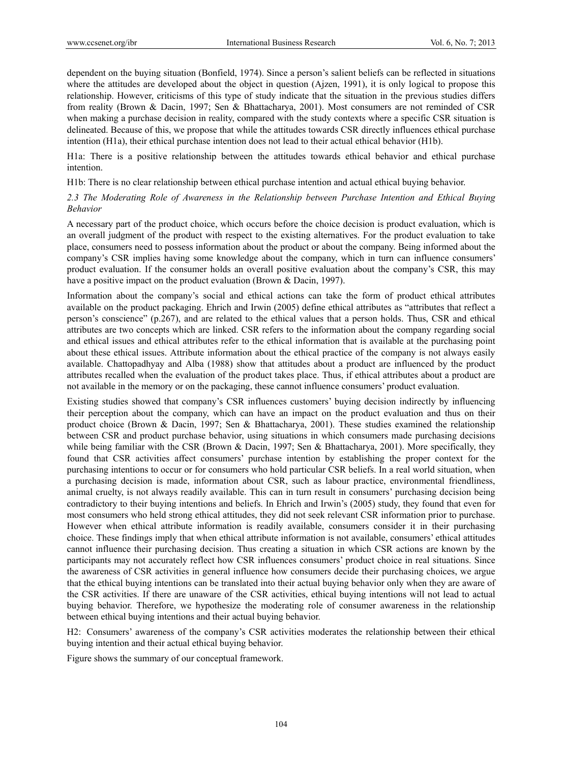dependent on the buying situation (Bonfield, 1974). Since a person's salient beliefs can be reflected in situations where the attitudes are developed about the object in question (Ajzen, 1991), it is only logical to propose this relationship. However, criticisms of this type of study indicate that the situation in the previous studies differs from reality (Brown & Dacin, 1997; Sen & Bhattacharya, 2001). Most consumers are not reminded of CSR when making a purchase decision in reality, compared with the study contexts where a specific CSR situation is delineated. Because of this, we propose that while the attitudes towards CSR directly influences ethical purchase intention (H1a), their ethical purchase intention does not lead to their actual ethical behavior (H1b).

H1a: There is a positive relationship between the attitudes towards ethical behavior and ethical purchase intention.

H1b: There is no clear relationship between ethical purchase intention and actual ethical buying behavior.

# *2.3 The Moderating Role of Awareness in the Relationship between Purchase Intention and Ethical Buying Behavior*

A necessary part of the product choice, which occurs before the choice decision is product evaluation, which is an overall judgment of the product with respect to the existing alternatives. For the product evaluation to take place, consumers need to possess information about the product or about the company. Being informed about the company's CSR implies having some knowledge about the company, which in turn can influence consumers' product evaluation. If the consumer holds an overall positive evaluation about the company's CSR, this may have a positive impact on the product evaluation (Brown & Dacin, 1997).

Information about the company's social and ethical actions can take the form of product ethical attributes available on the product packaging. Ehrich and Irwin (2005) define ethical attributes as "attributes that reflect a person's conscience" (p.267), and are related to the ethical values that a person holds. Thus, CSR and ethical attributes are two concepts which are linked. CSR refers to the information about the company regarding social and ethical issues and ethical attributes refer to the ethical information that is available at the purchasing point about these ethical issues. Attribute information about the ethical practice of the company is not always easily available. Chattopadhyay and Alba (1988) show that attitudes about a product are influenced by the product attributes recalled when the evaluation of the product takes place. Thus, if ethical attributes about a product are not available in the memory or on the packaging, these cannot influence consumers' product evaluation.

Existing studies showed that company's CSR influences customers' buying decision indirectly by influencing their perception about the company, which can have an impact on the product evaluation and thus on their product choice (Brown & Dacin, 1997; Sen & Bhattacharya, 2001). These studies examined the relationship between CSR and product purchase behavior, using situations in which consumers made purchasing decisions while being familiar with the CSR (Brown & Dacin, 1997; Sen & Bhattacharya, 2001). More specifically, they found that CSR activities affect consumers' purchase intention by establishing the proper context for the purchasing intentions to occur or for consumers who hold particular CSR beliefs. In a real world situation, when a purchasing decision is made, information about CSR, such as labour practice, environmental friendliness, animal cruelty, is not always readily available. This can in turn result in consumers' purchasing decision being contradictory to their buying intentions and beliefs. In Ehrich and Irwin's (2005) study, they found that even for most consumers who held strong ethical attitudes, they did not seek relevant CSR information prior to purchase. However when ethical attribute information is readily available, consumers consider it in their purchasing choice. These findings imply that when ethical attribute information is not available, consumers' ethical attitudes cannot influence their purchasing decision. Thus creating a situation in which CSR actions are known by the participants may not accurately reflect how CSR influences consumers' product choice in real situations. Since the awareness of CSR activities in general influence how consumers decide their purchasing choices, we argue that the ethical buying intentions can be translated into their actual buying behavior only when they are aware of the CSR activities. If there are unaware of the CSR activities, ethical buying intentions will not lead to actual buying behavior. Therefore, we hypothesize the moderating role of consumer awareness in the relationship between ethical buying intentions and their actual buying behavior.

H2: Consumers' awareness of the company's CSR activities moderates the relationship between their ethical buying intention and their actual ethical buying behavior.

Figure shows the summary of our conceptual framework.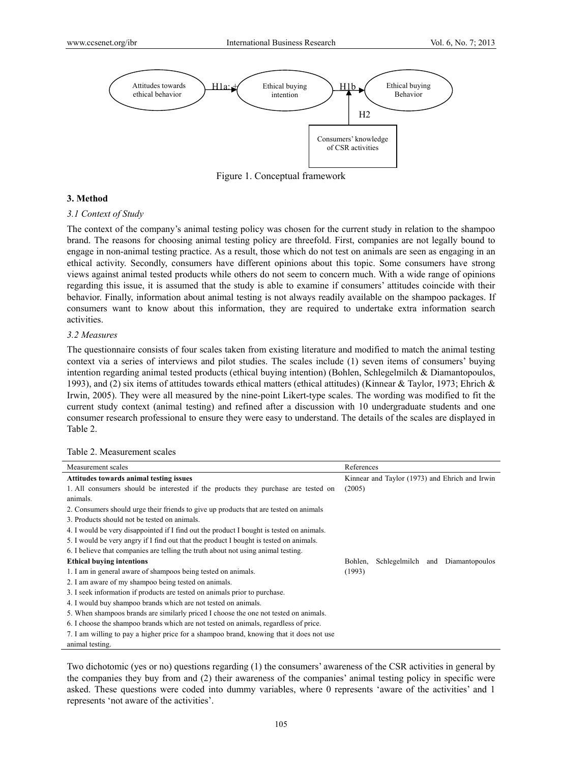

Figure 1. Conceptual framework

## **3. Method**

#### *3.1 Context of Study*

The context of the company's animal testing policy was chosen for the current study in relation to the shampoo brand. The reasons for choosing animal testing policy are threefold. First, companies are not legally bound to engage in non-animal testing practice. As a result, those which do not test on animals are seen as engaging in an ethical activity. Secondly, consumers have different opinions about this topic. Some consumers have strong views against animal tested products while others do not seem to concern much. With a wide range of opinions regarding this issue, it is assumed that the study is able to examine if consumers' attitudes coincide with their behavior. Finally, information about animal testing is not always readily available on the shampoo packages. If consumers want to know about this information, they are required to undertake extra information search activities.

#### *3.2 Measures*

The questionnaire consists of four scales taken from existing literature and modified to match the animal testing context via a series of interviews and pilot studies. The scales include (1) seven items of consumers' buying intention regarding animal tested products (ethical buying intention) (Bohlen, Schlegelmilch & Diamantopoulos, 1993), and (2) six items of attitudes towards ethical matters (ethical attitudes) (Kinnear & Taylor, 1973; Ehrich & Irwin, 2005). They were all measured by the nine-point Likert-type scales. The wording was modified to fit the current study context (animal testing) and refined after a discussion with 10 undergraduate students and one consumer research professional to ensure they were easy to understand. The details of the scales are displayed in Table 2.

| Measurement scales                                                                       | References                                     |  |  |  |
|------------------------------------------------------------------------------------------|------------------------------------------------|--|--|--|
| Attitudes towards animal testing issues                                                  | Kinnear and Taylor (1973) and Ehrich and Irwin |  |  |  |
| 1. All consumers should be interested if the products they purchase are tested on        | (2005)                                         |  |  |  |
| animals.                                                                                 |                                                |  |  |  |
| 2. Consumers should urge their friends to give up products that are tested on animals    |                                                |  |  |  |
| 3. Products should not be tested on animals.                                             |                                                |  |  |  |
| 4. I would be very disappointed if I find out the product I bought is tested on animals. |                                                |  |  |  |
| 5. I would be very angry if I find out that the product I bought is tested on animals.   |                                                |  |  |  |
| 6. I believe that companies are telling the truth about not using animal testing.        |                                                |  |  |  |
| <b>Ethical buying intentions</b>                                                         | Schlegelmilch and Diamantopoulos<br>Bohlen,    |  |  |  |
| 1. I am in general aware of shampoos being tested on animals.                            | (1993)                                         |  |  |  |
| 2. I am aware of my shampoo being tested on animals.                                     |                                                |  |  |  |
| 3. I seek information if products are tested on animals prior to purchase.               |                                                |  |  |  |
| 4. I would buy shampoo brands which are not tested on animals.                           |                                                |  |  |  |
| 5. When shampoos brands are similarly priced I choose the one not tested on animals.     |                                                |  |  |  |
| 6. I choose the shampoo brands which are not tested on animals, regardless of price.     |                                                |  |  |  |
| 7. I am willing to pay a higher price for a shampoo brand, knowing that it does not use  |                                                |  |  |  |
| animal testing.                                                                          |                                                |  |  |  |
|                                                                                          |                                                |  |  |  |

#### Table 2. Measurement scales

Two dichotomic (yes or no) questions regarding (1) the consumers' awareness of the CSR activities in general by the companies they buy from and (2) their awareness of the companies' animal testing policy in specific were asked. These questions were coded into dummy variables, where 0 represents 'aware of the activities' and 1 represents 'not aware of the activities'.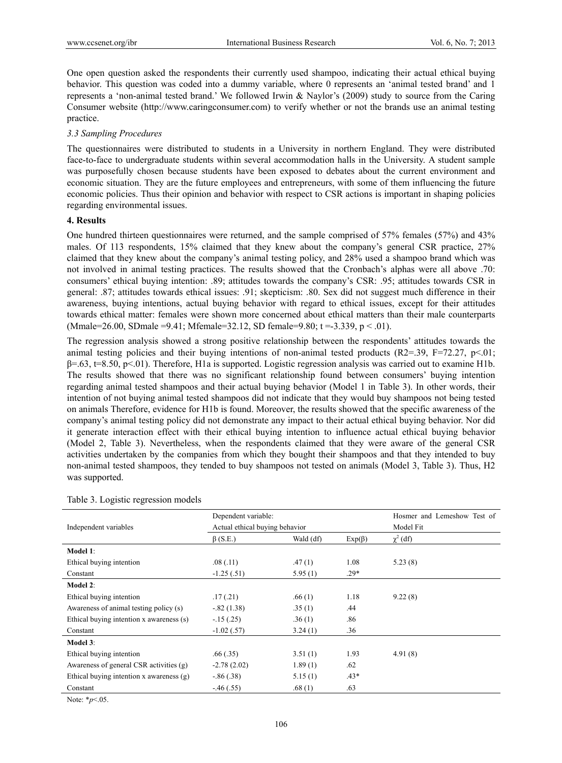One open question asked the respondents their currently used shampoo, indicating their actual ethical buying behavior. This question was coded into a dummy variable, where 0 represents an 'animal tested brand' and 1 represents a 'non-animal tested brand.' We followed Irwin & Naylor's (2009) study to source from the Caring Consumer website (http://www.caringconsumer.com) to verify whether or not the brands use an animal testing practice.

## *3.3 Sampling Procedures*

The questionnaires were distributed to students in a University in northern England. They were distributed face-to-face to undergraduate students within several accommodation halls in the University. A student sample was purposefully chosen because students have been exposed to debates about the current environment and economic situation. They are the future employees and entrepreneurs, with some of them influencing the future economic policies. Thus their opinion and behavior with respect to CSR actions is important in shaping policies regarding environmental issues.

#### **4. Results**

One hundred thirteen questionnaires were returned, and the sample comprised of 57% females (57%) and 43% males. Of 113 respondents, 15% claimed that they knew about the company's general CSR practice, 27% claimed that they knew about the company's animal testing policy, and 28% used a shampoo brand which was not involved in animal testing practices. The results showed that the Cronbach's alphas were all above .70: consumers' ethical buying intention: .89; attitudes towards the company's CSR: .95; attitudes towards CSR in general: .87; attitudes towards ethical issues: .91; skepticism: .80. Sex did not suggest much difference in their awareness, buying intentions, actual buying behavior with regard to ethical issues, except for their attitudes towards ethical matter: females were shown more concerned about ethical matters than their male counterparts (Mmale=26.00, SDmale =9.41; Mfemale=32.12, SD female=9.80;  $t = 3.339$ ,  $p < .01$ ).

The regression analysis showed a strong positive relationship between the respondents' attitudes towards the animal testing policies and their buying intentions of non-animal tested products  $(R2=39, F=72.27, p<01;$ β=.63, t=8.50, p<.01). Therefore, H1a is supported. Logistic regression analysis was carried out to examine H1b. The results showed that there was no significant relationship found between consumers' buying intention regarding animal tested shampoos and their actual buying behavior (Model 1 in Table 3). In other words, their intention of not buying animal tested shampoos did not indicate that they would buy shampoos not being tested on animals Therefore, evidence for H1b is found. Moreover, the results showed that the specific awareness of the company's animal testing policy did not demonstrate any impact to their actual ethical buying behavior. Nor did it generate interaction effect with their ethical buying intention to influence actual ethical buying behavior (Model 2, Table 3). Nevertheless, when the respondents claimed that they were aware of the general CSR activities undertaken by the companies from which they bought their shampoos and that they intended to buy non-animal tested shampoos, they tended to buy shampoos not tested on animals (Model 3, Table 3). Thus, H2 was supported.

|                                          | Dependent variable:            |           |              | Hosmer and Lemeshow Test of |
|------------------------------------------|--------------------------------|-----------|--------------|-----------------------------|
| Independent variables                    | Actual ethical buying behavior |           |              | Model Fit                   |
|                                          | $\beta$ (S.E.)                 | Wald (df) | $Exp(\beta)$ | $\chi^2$ (df)               |
| Model 1:                                 |                                |           |              |                             |
| Ethical buying intention                 | .08(0.11)                      | .47(1)    | 1.08         | 5.23(8)                     |
| Constant                                 | $-1.25(.51)$                   | 5.95(1)   | $.29*$       |                             |
| Model 2:                                 |                                |           |              |                             |
| Ethical buying intention                 | .17(0.21)                      | .66(1)    | 1.18         | 9.22(8)                     |
| Awareness of animal testing policy (s)   | $-.82(1.38)$                   | .35(1)    | .44          |                             |
| Ethical buying intention x awareness (s) | $-15(.25)$                     | .36(1)    | .86          |                             |
| Constant                                 | $-1.02$ (.57)                  | 3.24(1)   | .36          |                             |
| Model 3:                                 |                                |           |              |                             |
| Ethical buying intention                 | .66(.35)                       | 3.51(1)   | 1.93         | 4.91(8)                     |
| Awareness of general CSR activities (g)  | $-2.78(2.02)$                  | 1.89(1)   | .62          |                             |
| Ethical buying intention x awareness (g) | $-.86(.38)$                    | 5.15(1)   | $.43*$       |                             |
| Constant                                 | $-46(.55)$                     | .68(1)    | .63          |                             |

# Table 3. Logistic regression models

Note: \**p*<.05.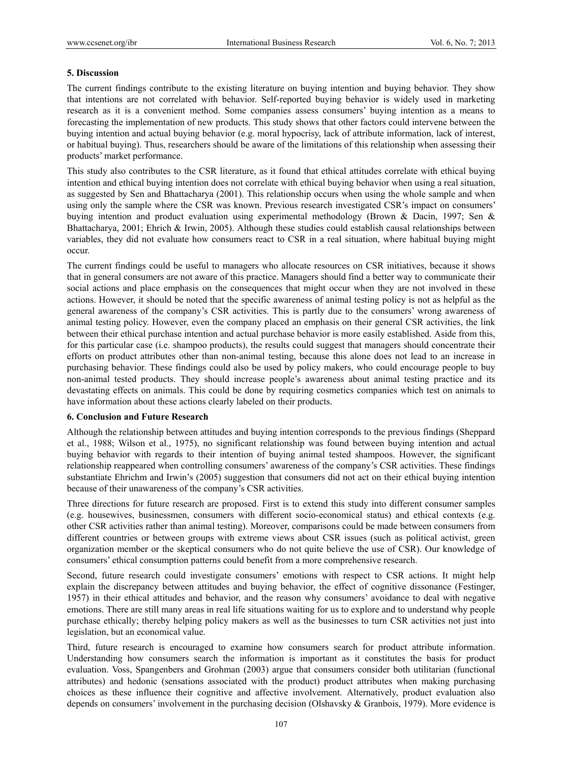## **5. Discussion**

The current findings contribute to the existing literature on buying intention and buying behavior. They show that intentions are not correlated with behavior. Self-reported buying behavior is widely used in marketing research as it is a convenient method. Some companies assess consumers' buying intention as a means to forecasting the implementation of new products. This study shows that other factors could intervene between the buying intention and actual buying behavior (e.g. moral hypocrisy, lack of attribute information, lack of interest, or habitual buying). Thus, researchers should be aware of the limitations of this relationship when assessing their products' market performance.

This study also contributes to the CSR literature, as it found that ethical attitudes correlate with ethical buying intention and ethical buying intention does not correlate with ethical buying behavior when using a real situation, as suggested by Sen and Bhattacharya (2001). This relationship occurs when using the whole sample and when using only the sample where the CSR was known. Previous research investigated CSR's impact on consumers' buying intention and product evaluation using experimental methodology (Brown & Dacin, 1997; Sen & Bhattacharya, 2001; Ehrich & Irwin, 2005). Although these studies could establish causal relationships between variables, they did not evaluate how consumers react to CSR in a real situation, where habitual buying might occur.

The current findings could be useful to managers who allocate resources on CSR initiatives, because it shows that in general consumers are not aware of this practice. Managers should find a better way to communicate their social actions and place emphasis on the consequences that might occur when they are not involved in these actions. However, it should be noted that the specific awareness of animal testing policy is not as helpful as the general awareness of the company's CSR activities. This is partly due to the consumers' wrong awareness of animal testing policy. However, even the company placed an emphasis on their general CSR activities, the link between their ethical purchase intention and actual purchase behavior is more easily established. Aside from this, for this particular case (i.e. shampoo products), the results could suggest that managers should concentrate their efforts on product attributes other than non-animal testing, because this alone does not lead to an increase in purchasing behavior. These findings could also be used by policy makers, who could encourage people to buy non-animal tested products. They should increase people's awareness about animal testing practice and its devastating effects on animals. This could be done by requiring cosmetics companies which test on animals to have information about these actions clearly labeled on their products.

#### **6. Conclusion and Future Research**

Although the relationship between attitudes and buying intention corresponds to the previous findings (Sheppard et al., 1988; Wilson et al., 1975), no significant relationship was found between buying intention and actual buying behavior with regards to their intention of buying animal tested shampoos. However, the significant relationship reappeared when controlling consumers' awareness of the company's CSR activities. These findings substantiate Ehrichm and Irwin's (2005) suggestion that consumers did not act on their ethical buying intention because of their unawareness of the company's CSR activities.

Three directions for future research are proposed. First is to extend this study into different consumer samples (e.g. housewives, businessmen, consumers with different socio-economical status) and ethical contexts (e.g. other CSR activities rather than animal testing). Moreover, comparisons could be made between consumers from different countries or between groups with extreme views about CSR issues (such as political activist, green organization member or the skeptical consumers who do not quite believe the use of CSR). Our knowledge of consumers' ethical consumption patterns could benefit from a more comprehensive research.

Second, future research could investigate consumers' emotions with respect to CSR actions. It might help explain the discrepancy between attitudes and buying behavior, the effect of cognitive dissonance (Festinger, 1957) in their ethical attitudes and behavior, and the reason why consumers' avoidance to deal with negative emotions. There are still many areas in real life situations waiting for us to explore and to understand why people purchase ethically; thereby helping policy makers as well as the businesses to turn CSR activities not just into legislation, but an economical value.

Third, future research is encouraged to examine how consumers search for product attribute information. Understanding how consumers search the information is important as it constitutes the basis for product evaluation. Voss, Spangenbers and Grohman (2003) argue that consumers consider both utilitarian (functional attributes) and hedonic (sensations associated with the product) product attributes when making purchasing choices as these influence their cognitive and affective involvement. Alternatively, product evaluation also depends on consumers' involvement in the purchasing decision (Olshavsky  $\&$  Granbois, 1979). More evidence is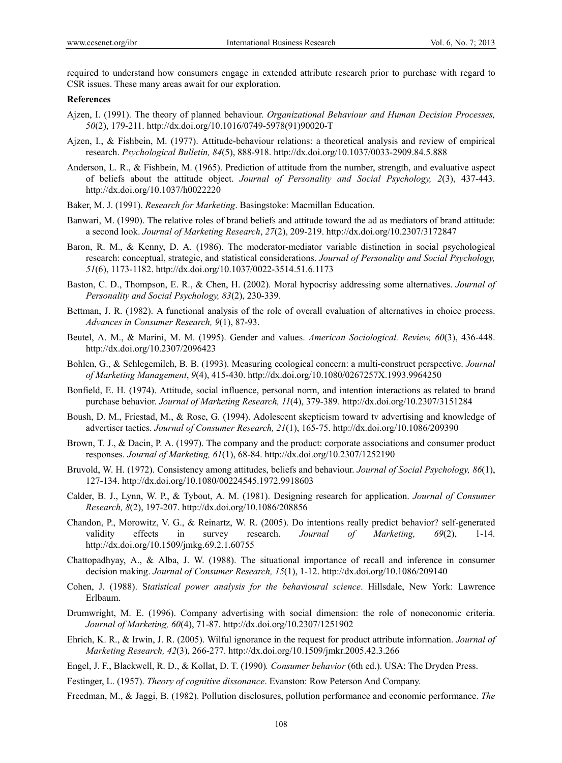required to understand how consumers engage in extended attribute research prior to purchase with regard to CSR issues. These many areas await for our exploration.

#### **References**

- Ajzen, I. (1991). The theory of planned behaviour. *Organizational Behaviour and Human Decision Processes, 50*(2), 179-211. http://dx.doi.org/10.1016/0749-5978(91)90020-T
- Ajzen, I., & Fishbein, M. (1977). Attitude-behaviour relations: a theoretical analysis and review of empirical research. *Psychological Bulletin, 84*(5), 888-918. http://dx.doi.org/10.1037/0033-2909.84.5.888
- Anderson, L. R., & Fishbein, M. (1965). Prediction of attitude from the number, strength, and evaluative aspect of beliefs about the attitude object. *Journal of Personality and Social Psychology, 2*(3), 437-443. http://dx.doi.org/10.1037/h0022220
- Baker, M. J. (1991). *Research for Marketing*. Basingstoke: Macmillan Education.
- Banwari, M. (1990). The relative roles of brand beliefs and attitude toward the ad as mediators of brand attitude: a second look. *Journal of Marketing Research*, *27*(2), 209-219. http://dx.doi.org/10.2307/3172847
- Baron, R. M., & Kenny, D. A. (1986). The moderator-mediator variable distinction in social psychological research: conceptual, strategic, and statistical considerations. *Journal of Personality and Social Psychology, 51*(6), 1173-1182. http://dx.doi.org/10.1037/0022-3514.51.6.1173
- Baston, C. D., Thompson, E. R., & Chen, H. (2002). Moral hypocrisy addressing some alternatives. *Journal of Personality and Social Psychology, 83*(2), 230-339.
- Bettman, J. R. (1982). A functional analysis of the role of overall evaluation of alternatives in choice process. *Advances in Consumer Research, 9*(1), 87-93.
- Beutel, A. M., & Marini, M. M. (1995). Gender and values. *American Sociological. Review, 60*(3), 436-448. http://dx.doi.org/10.2307/2096423
- Bohlen, G., & Schlegemilch, B. B. (1993). Measuring ecological concern: a multi-construct perspective. *Journal of Marketing Management*, *9*(4), 415-430. http://dx.doi.org/10.1080/0267257X.1993.9964250
- Bonfield, E. H. (1974). Attitude, social influence, personal norm, and intention interactions as related to brand purchase behavior. *Journal of Marketing Research, 11*(4), 379-389. http://dx.doi.org/10.2307/3151284
- Boush, D. M., Friestad, M., & Rose, G. (1994). Adolescent skepticism toward tv advertising and knowledge of advertiser tactics. *Journal of Consumer Research, 21*(1), 165-75. http://dx.doi.org/10.1086/209390
- Brown, T. J., & Dacin, P. A. (1997). The company and the product: corporate associations and consumer product responses. *Journal of Marketing, 61*(1), 68-84. http://dx.doi.org/10.2307/1252190
- Bruvold, W. H. (1972). Consistency among attitudes, beliefs and behaviour. *Journal of Social Psychology, 86*(1), 127-134. http://dx.doi.org/10.1080/00224545.1972.9918603
- Calder, B. J., Lynn, W. P., & Tybout, A. M. (1981). Designing research for application. *Journal of Consumer Research, 8*(2), 197-207. http://dx.doi.org/10.1086/208856
- Chandon, P., Morowitz, V. G., & Reinartz, W. R. (2005). Do intentions really predict behavior? self-generated validity effects in survey research. *Journal of Marketing, 69*(2), 1-14. http://dx.doi.org/10.1509/jmkg.69.2.1.60755
- Chattopadhyay, A., & Alba, J. W. (1988). The situational importance of recall and inference in consumer decision making. *Journal of Consumer Research, 15*(1), 1-12. http://dx.doi.org/10.1086/209140
- Cohen, J. (1988). S*tatistical power analysis for the behavioural science*. Hillsdale, New York: Lawrence Erlbaum.
- Drumwright, M. E. (1996). Company advertising with social dimension: the role of noneconomic criteria. *Journal of Marketing, 60*(4), 71-87. http://dx.doi.org/10.2307/1251902
- Ehrich, K. R., & Irwin, J. R. (2005). Wilful ignorance in the request for product attribute information. *Journal of Marketing Research, 42*(3), 266-277. http://dx.doi.org/10.1509/jmkr.2005.42.3.266
- Engel, J. F., Blackwell, R. D., & Kollat, D. T. (1990)*. Consumer behavior* (6th ed.). USA: The Dryden Press.
- Festinger, L. (1957). *Theory of cognitive dissonance*. Evanston: Row Peterson And Company.
- Freedman, M., & Jaggi, B. (1982). Pollution disclosures, pollution performance and economic performance. *The*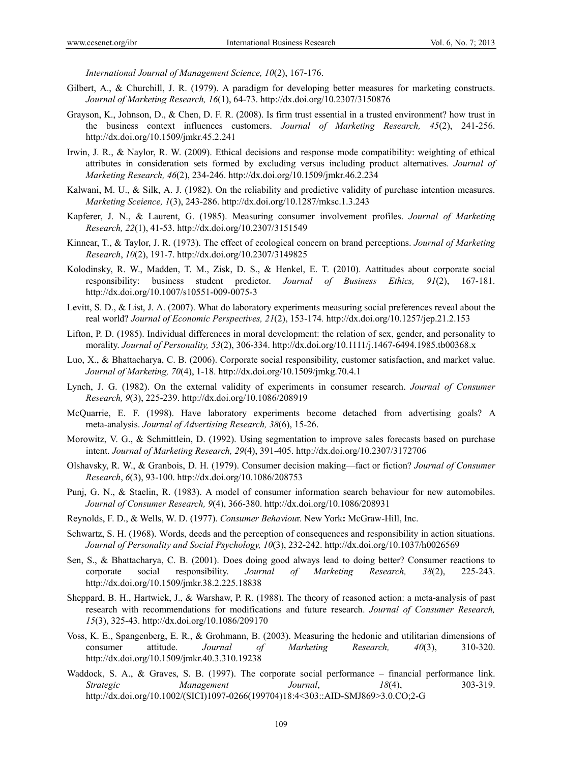*International Journal of Management Science, 10*(2), 167-176.

- Gilbert, A., & Churchill, J. R. (1979). A paradigm for developing better measures for marketing constructs. *Journal of Marketing Research, 16*(1), 64-73. http://dx.doi.org/10.2307/3150876
- Grayson, K., Johnson, D., & Chen, D. F. R. (2008). Is firm trust essential in a trusted environment? how trust in the business context influences customers. *Journal of Marketing Research, 45*(2), 241-256. http://dx.doi.org/10.1509/jmkr.45.2.241
- Irwin, J. R., & Naylor, R. W. (2009). Ethical decisions and response mode compatibility: weighting of ethical attributes in consideration sets formed by excluding versus including product alternatives. *Journal of Marketing Research, 46*(2), 234-246. http://dx.doi.org/10.1509/jmkr.46.2.234
- Kalwani, M. U., & Silk, A. J. (1982). On the reliability and predictive validity of purchase intention measures. *Marketing Sceience, 1*(3), 243-286. http://dx.doi.org/10.1287/mksc.1.3.243
- Kapferer, J. N., & Laurent, G. (1985). Measuring consumer involvement profiles. *Journal of Marketing Research, 22*(1), 41-53. http://dx.doi.org/10.2307/3151549
- Kinnear, T., & Taylor, J. R. (1973). The effect of ecological concern on brand perceptions. *Journal of Marketing Research*, *10*(2), 191-7. http://dx.doi.org/10.2307/3149825
- Kolodinsky, R. W., Madden, T. M., Zisk, D. S., & Henkel, E. T. (2010). Aattitudes about corporate social responsibility: business student predictor. *Journal of Business Ethics, 91*(2), 167-181. http://dx.doi.org/10.1007/s10551-009-0075-3
- Levitt, S. D., & List, J. A. (2007). What do laboratory experiments measuring social preferences reveal about the real world? *Journal of Economic Perspectives, 21*(2), 153-174*.* http://dx.doi.org/10.1257/jep.21.2.153
- Lifton, P. D. (1985). Individual differences in moral development: the relation of sex, gender, and personality to morality. *Journal of Personality, 53*(2), 306-334. http://dx.doi.org/10.1111/j.1467-6494.1985.tb00368.x
- Luo, X., & Bhattacharya, C. B. (2006). Corporate social responsibility, customer satisfaction, and market value. *Journal of Marketing, 70*(4), 1-18. http://dx.doi.org/10.1509/jmkg.70.4.1
- Lynch, J. G. (1982). On the external validity of experiments in consumer research. *Journal of Consumer Research, 9*(3), 225-239. http://dx.doi.org/10.1086/208919
- McQuarrie, E. F. (1998). Have laboratory experiments become detached from advertising goals? A meta-analysis. *Journal of Advertising Research, 38*(6), 15-26.
- Morowitz, V. G., & Schmittlein, D. (1992). Using segmentation to improve sales forecasts based on purchase intent. *Journal of Marketing Research, 29*(4), 391-405. http://dx.doi.org/10.2307/3172706
- Olshavsky, R. W., & Granbois, D. H. (1979). Consumer decision making—fact or fiction? *Journal of Consumer Research*, *6*(3), 93-100. http://dx.doi.org/10.1086/208753
- Punj, G. N., & Staelin, R. (1983). A model of consumer information search behaviour for new automobiles. *Journal of Consumer Research, 9*(4), 366-380. http://dx.doi.org/10.1086/208931
- Reynolds, F. D., & Wells, W. D. (1977). *Consumer Behaviou*r. New York**:** McGraw-Hill, Inc.
- Schwartz, S. H. (1968). Words, deeds and the perception of consequences and responsibility in action situations. *Journal of Personality and Social Psychology, 10*(3), 232-242. http://dx.doi.org/10.1037/h0026569
- Sen, S., & Bhattacharya, C. B. (2001). Does doing good always lead to doing better? Consumer reactions to corporate social responsibility. *Journal of Marketing Research, 38*(2), 225-243. http://dx.doi.org/10.1509/jmkr.38.2.225.18838
- Sheppard, B. H., Hartwick, J., & Warshaw, P. R. (1988). The theory of reasoned action: a meta-analysis of past research with recommendations for modifications and future research. *Journal of Consumer Research, 15*(3), 325-43. http://dx.doi.org/10.1086/209170
- Voss, K. E., Spangenberg, E. R., & Grohmann, B. (2003). Measuring the hedonic and utilitarian dimensions of consumer attitude. *Journal of Marketing Research, 40*(3), 310-320. http://dx.doi.org/10.1509/jmkr.40.3.310.19238
- Waddock, S. A., & Graves, S. B. (1997). The corporate social performance financial performance link. *Strategic Management Journal*, *18*(4), 303-319. http://dx.doi.org/10.1002/(SICI)1097-0266(199704)18:4<303::AID-SMJ869>3.0.CO;2-G